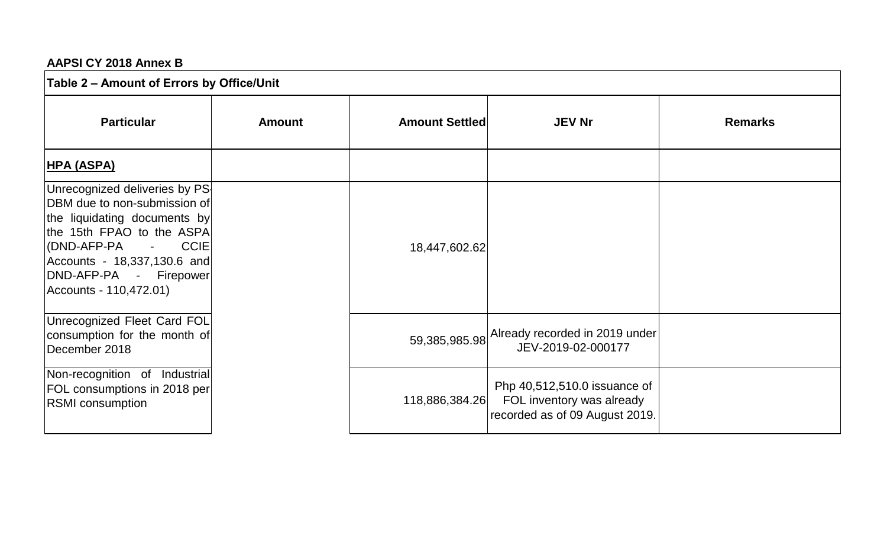## **AAPSI CY 2018 Annex B**

| Table 2 - Amount of Errors by Office/Unit                                                                                                                                                                                                       |               |                       |                                                                                             |                |
|-------------------------------------------------------------------------------------------------------------------------------------------------------------------------------------------------------------------------------------------------|---------------|-----------------------|---------------------------------------------------------------------------------------------|----------------|
| <b>Particular</b>                                                                                                                                                                                                                               | <b>Amount</b> | <b>Amount Settled</b> | <b>JEV Nr</b>                                                                               | <b>Remarks</b> |
| <u> HPA (ASPA)</u>                                                                                                                                                                                                                              |               |                       |                                                                                             |                |
| Unrecognized deliveries by PS<br>DBM due to non-submission of<br>the liquidating documents by<br>the 15th FPAO to the ASPA<br>(DND-AFP-PA -<br><b>CCIE</b><br>Accounts - 18,337,130.6 and<br> DND-AFP-PA - Firepower <br>Accounts - 110,472.01) |               | 18,447,602.62         |                                                                                             |                |
| Unrecognized Fleet Card FOL<br>consumption for the month of<br>December 2018                                                                                                                                                                    |               |                       | 59,385,985.98 Already recorded in 2019 under<br>JEV-2019-02-000177                          |                |
| Non-recognition of Industrial<br>FOL consumptions in 2018 per<br><b>RSMI</b> consumption                                                                                                                                                        |               | 118,886,384.26        | Php 40,512,510.0 issuance of<br>FOL inventory was already<br>recorded as of 09 August 2019. |                |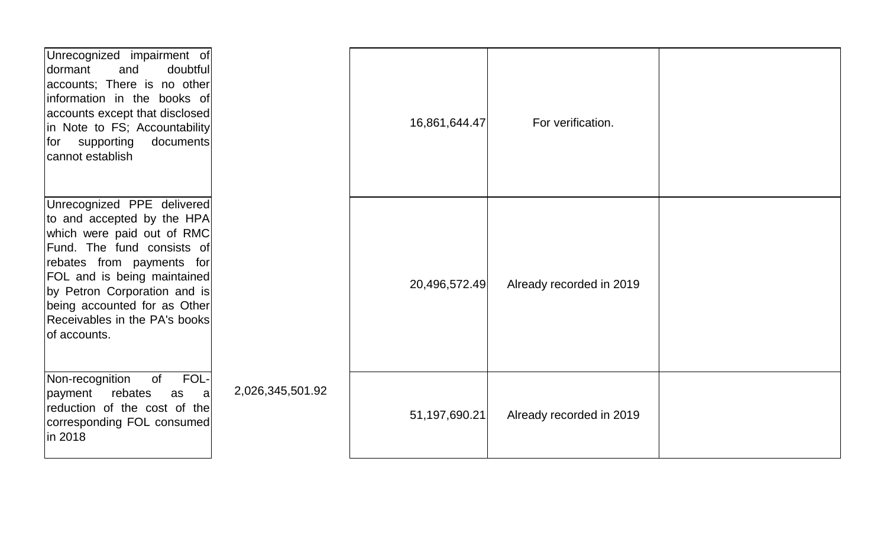| Unrecognized impairment of<br>and<br>doubtful<br>dormant<br>accounts; There is no other<br>linformation in the books of<br>accounts except that disclosed<br>in Note to FS; Accountability<br>documents<br>for supporting<br>cannot establish                                                            |                  | 16,861,644.47 | For verification.        |  |
|----------------------------------------------------------------------------------------------------------------------------------------------------------------------------------------------------------------------------------------------------------------------------------------------------------|------------------|---------------|--------------------------|--|
| Unrecognized PPE delivered<br>to and accepted by the HPA<br>which were paid out of RMC<br>Fund. The fund consists of<br>rebates from payments for<br><b>FOL</b> and is being maintained<br>by Petron Corporation and is<br>being accounted for as Other<br>Receivables in the PA's books<br>of accounts. |                  | 20,496,572.49 | Already recorded in 2019 |  |
| FOL-<br>Non-recognition<br>of<br>payment<br>rebates<br>as<br>-al<br>reduction of the cost of the<br>corresponding FOL consumed<br>in 2018                                                                                                                                                                | 2,026,345,501.92 | 51,197,690.21 | Already recorded in 2019 |  |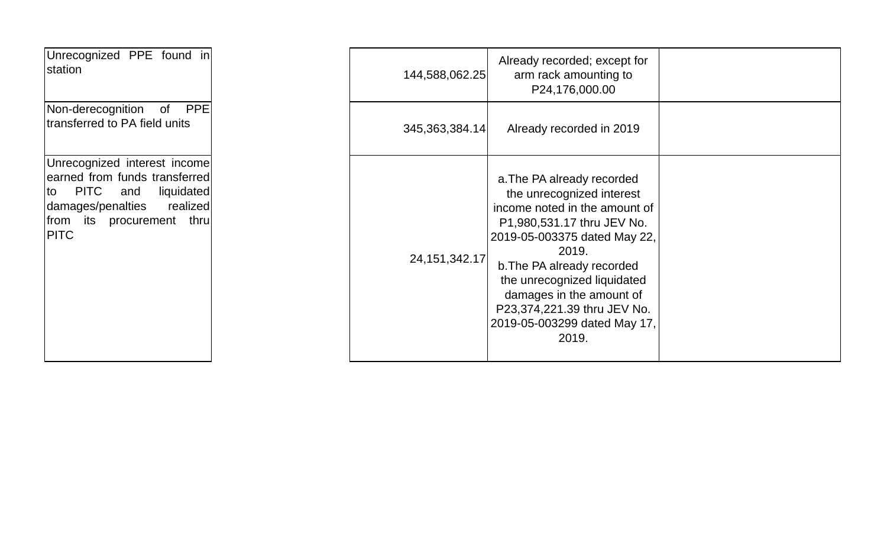| Unrecognized PPE found in<br>station                                                                                                                                       | 144,588,062.25    |
|----------------------------------------------------------------------------------------------------------------------------------------------------------------------------|-------------------|
| <b>PPE</b><br>Non-derecognition<br>of<br>transferred to PA field units                                                                                                     | 345, 363, 384. 14 |
| Unrecognized interest income<br>earned from funds transferred<br>PITC and<br>liquidated<br>to<br>damages/penalties realized<br>from its procurement<br>thru<br><b>PITC</b> | 24, 151, 342. 17  |

| Unrecognized PPE found in<br>station                                                                                                                                                 | 144,588,062.25    | Already recorded; except for<br>arm rack amounting to<br>P24,176,000.00                                                                                                                                                                                                                                                          |  |
|--------------------------------------------------------------------------------------------------------------------------------------------------------------------------------------|-------------------|----------------------------------------------------------------------------------------------------------------------------------------------------------------------------------------------------------------------------------------------------------------------------------------------------------------------------------|--|
| <b>PPE</b><br>Non-derecognition<br>of<br>transferred to PA field units                                                                                                               | 345, 363, 384. 14 | Already recorded in 2019                                                                                                                                                                                                                                                                                                         |  |
| Unrecognized interest income<br>earned from funds transferred<br><b>PITC</b><br>liquidated<br>and<br>to<br>damages/penalties<br>realized<br>from its procurement thru<br><b>PITC</b> | 24, 151, 342. 17  | a. The PA already recorded<br>the unrecognized interest<br>income noted in the amount of<br>P1,980,531.17 thru JEV No.<br>2019-05-003375 dated May 22,<br>2019.<br>b. The PA already recorded<br>the unrecognized liquidated<br>damages in the amount of<br>P23,374,221.39 thru JEV No.<br>2019-05-003299 dated May 17,<br>2019. |  |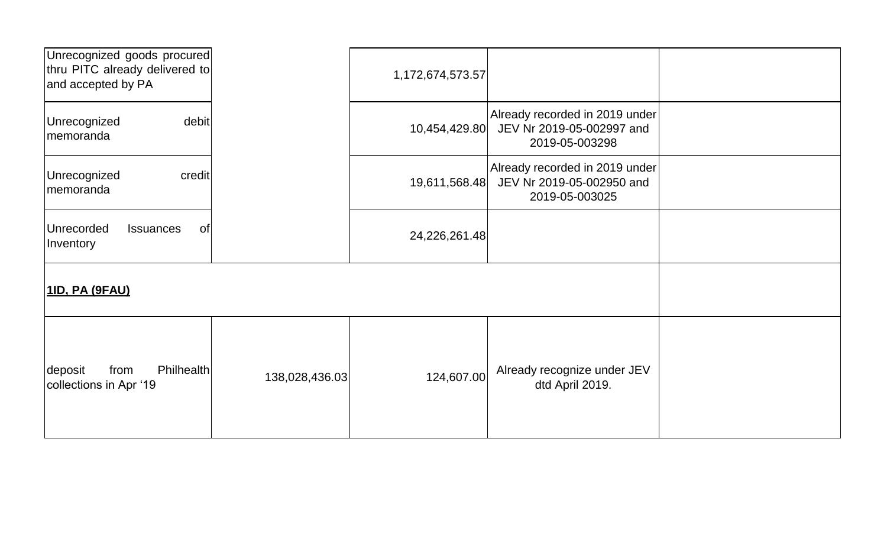| Unrecognized goods procured<br>thru PITC already delivered to<br>and accepted by PA |                | 1,172,674,573.57 |                                                                               |  |
|-------------------------------------------------------------------------------------|----------------|------------------|-------------------------------------------------------------------------------|--|
| debit<br>Unrecognized<br>memoranda                                                  |                | 10,454,429.80    | Already recorded in 2019 under<br>JEV Nr 2019-05-002997 and<br>2019-05-003298 |  |
| Unrecognized<br>credit<br>memoranda                                                 |                | 19,611,568.48    | Already recorded in 2019 under<br>JEV Nr 2019-05-002950 and<br>2019-05-003025 |  |
| <b>of</b><br>Unrecorded<br><b>Issuances</b><br>Inventory                            |                | 24,226,261.48    |                                                                               |  |
| 11D, PA (9FAU)                                                                      |                |                  |                                                                               |  |
| <b>Philhealth</b><br>deposit<br>from<br>collections in Apr '19                      | 138,028,436.03 | 124,607.00       | Already recognize under JEV<br>dtd April 2019.                                |  |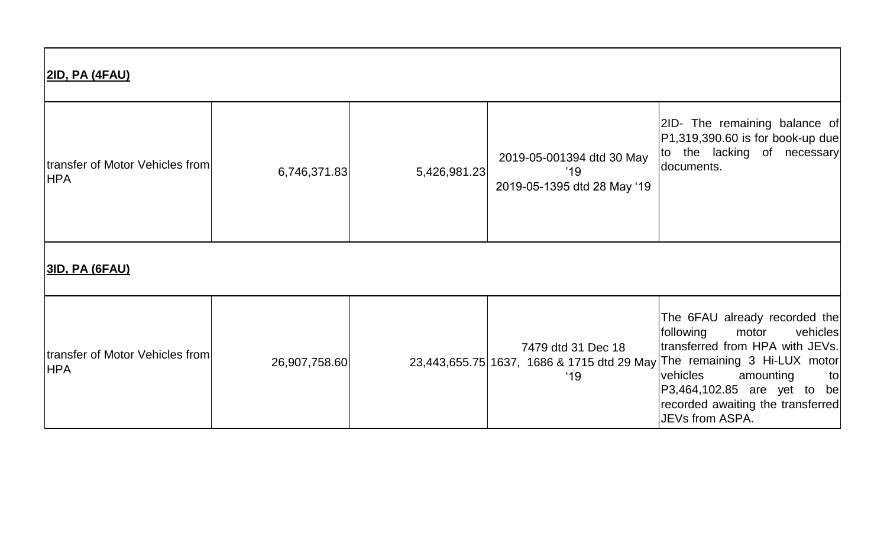| <u> 2ID, PA (4FAU)</u>                        |               |              |                                                                 |                                                                                                                                                                                                                                                                                                          |
|-----------------------------------------------|---------------|--------------|-----------------------------------------------------------------|----------------------------------------------------------------------------------------------------------------------------------------------------------------------------------------------------------------------------------------------------------------------------------------------------------|
| transfer of Motor Vehicles from<br><b>HPA</b> | 6,746,371.83  | 5,426,981.23 | 2019-05-001394 dtd 30 May<br>'19<br>2019-05-1395 dtd 28 May '19 | 2ID- The remaining balance of<br>$ P1,319,390.60$ is for book-up due<br>to the lacking of necessary<br>documents.                                                                                                                                                                                        |
| <u> 3ID, PA (6FAU)</u>                        |               |              |                                                                 |                                                                                                                                                                                                                                                                                                          |
| transfer of Motor Vehicles from<br><b>HPA</b> | 26,907,758.60 |              | 7479 dtd 31 Dec 18<br>'19                                       | The 6FAU already recorded the<br>following<br>motor<br>vehicles<br>transferred from HPA with JEVs.<br>23,443,655.75   1637, 1686 & 1715 dtd 29 May   The remaining 3 Hi-LUX motor<br>vehicles<br>amounting<br>tol<br>P3,464,102.85 are yet to be<br>recorded awaiting the transferred<br>JEVs from ASPA. |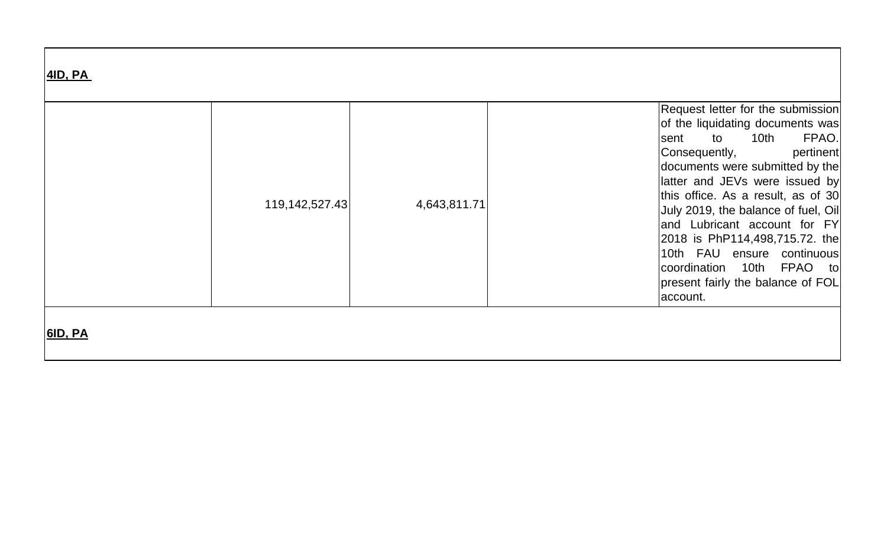| <b>4ID, PA</b> |                |              |                                                                                                                                                                                                                                                                                                                                                                                                                                                                    |
|----------------|----------------|--------------|--------------------------------------------------------------------------------------------------------------------------------------------------------------------------------------------------------------------------------------------------------------------------------------------------------------------------------------------------------------------------------------------------------------------------------------------------------------------|
|                | 119,142,527.43 | 4,643,811.71 | Request letter for the submission<br>of the liquidating documents was<br>FPAO.<br>10th<br>to<br>sent<br>pertinent<br>Consequently,<br>documents were submitted by the<br>latter and JEVs were issued by<br>this office. As a result, as of 30<br>July 2019, the balance of fuel, Oil<br>and Lubricant account for FY<br>2018 is PhP114,498,715.72. the<br>10th FAU ensure continuous<br>coordination 10th FPAO to<br>present fairly the balance of FOL<br>account. |
| <b>6ID, PA</b> |                |              |                                                                                                                                                                                                                                                                                                                                                                                                                                                                    |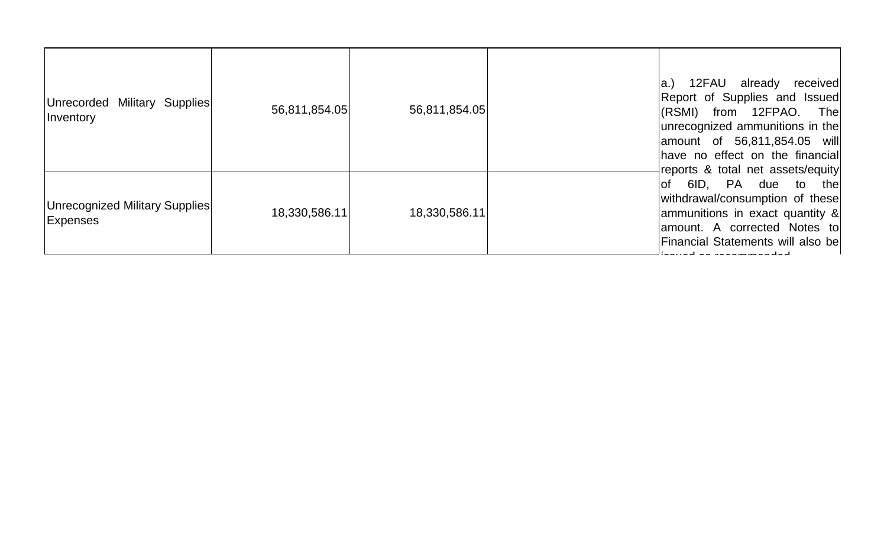| Unrecorded Military Supplies<br><i>Inventory</i>  | 56,811,854.05 | 56,811,854.05 | 12FAU already<br>received<br>$ a_{\cdot}\rangle$<br>Report of Supplies and Issued<br>(RSMI) from 12FPAO. The<br>unrecognized ammunitions in the<br>amount of 56,811,854.05 will<br>have no effect on the financial<br>reports & total net assets/equity |
|---------------------------------------------------|---------------|---------------|---------------------------------------------------------------------------------------------------------------------------------------------------------------------------------------------------------------------------------------------------------|
| Unrecognized Military Supplies<br><b>Expenses</b> | 18,330,586.11 | 18,330,586.11 | of 6ID, PA due to the<br>withdrawal/consumption of these<br>ammunitions in exact quantity &<br>amount. A corrected Notes to<br><b>Financial Statements will also bell</b>                                                                               |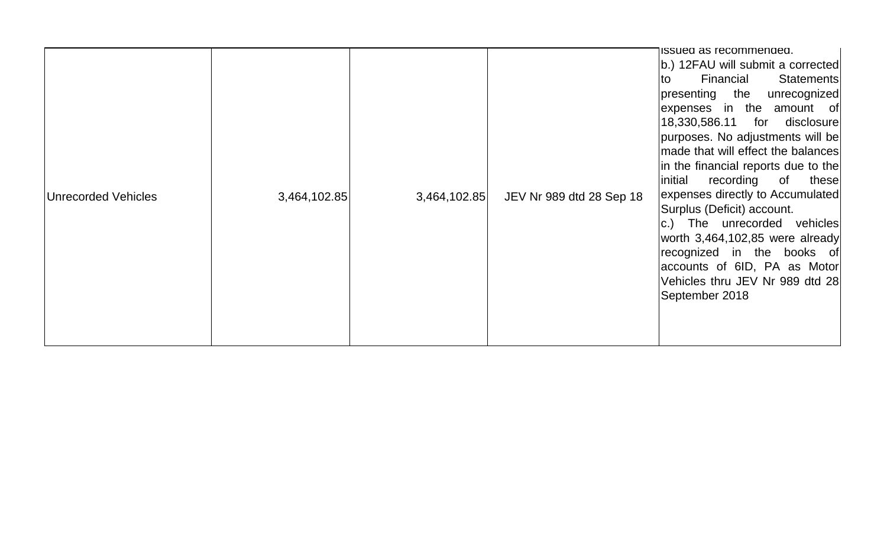| <b>Unrecorded Vehicles</b> | 3,464,102.85 | 3,464,102.85 | JEV Nr 989 dtd 28 Sep 18 | issued as recommended.<br>b.) 12FAU will submit a corrected<br>Financial<br>Statements<br>Ito<br>presenting the unrecognized<br>expenses in the amount of<br>18,330,586.11 for disclosure<br>purposes. No adjustments will be<br>made that will effect the balances<br>in the financial reports due to the<br>recording<br>initial<br>of<br>these<br>expenses directly to Accumulated<br>Surplus (Deficit) account.<br>c.) The unrecorded vehicles<br>worth 3,464,102,85 were already<br>recognized in the books of<br>accounts of 6ID, PA as Motor<br>Vehicles thru JEV Nr 989 dtd 28<br>September 2018 |
|----------------------------|--------------|--------------|--------------------------|----------------------------------------------------------------------------------------------------------------------------------------------------------------------------------------------------------------------------------------------------------------------------------------------------------------------------------------------------------------------------------------------------------------------------------------------------------------------------------------------------------------------------------------------------------------------------------------------------------|
|----------------------------|--------------|--------------|--------------------------|----------------------------------------------------------------------------------------------------------------------------------------------------------------------------------------------------------------------------------------------------------------------------------------------------------------------------------------------------------------------------------------------------------------------------------------------------------------------------------------------------------------------------------------------------------------------------------------------------------|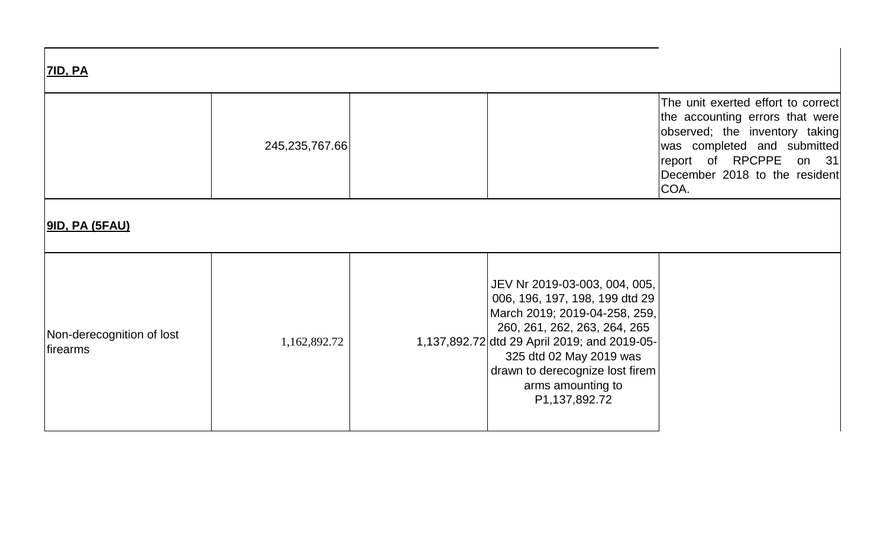| <b>7ID, PA</b>                                |                   |  |                                                                                                                                                                                                                                                                                      |                                                                                                                                                                                                              |  |  |
|-----------------------------------------------|-------------------|--|--------------------------------------------------------------------------------------------------------------------------------------------------------------------------------------------------------------------------------------------------------------------------------------|--------------------------------------------------------------------------------------------------------------------------------------------------------------------------------------------------------------|--|--|
|                                               | 245, 235, 767. 66 |  |                                                                                                                                                                                                                                                                                      | The unit exerted effort to correct<br>the accounting errors that were<br>observed; the inventory taking<br>was completed and submitted<br>report of RPCPPE<br>on 31<br>December 2018 to the resident<br>COA. |  |  |
|                                               |                   |  |                                                                                                                                                                                                                                                                                      |                                                                                                                                                                                                              |  |  |
| Non-derecognition of lost<br><i>lfirearms</i> | 1,162,892.72      |  | JEV Nr 2019-03-003, 004, 005,<br>006, 196, 197, 198, 199 dtd 29<br>March 2019; 2019-04-258, 259,<br>260, 261, 262, 263, 264, 265<br>1,137,892.72 dtd 29 April 2019; and 2019-05-<br>325 dtd 02 May 2019 was<br>drawn to derecognize lost firem<br>arms amounting to<br>P1,137,892.72 |                                                                                                                                                                                                              |  |  |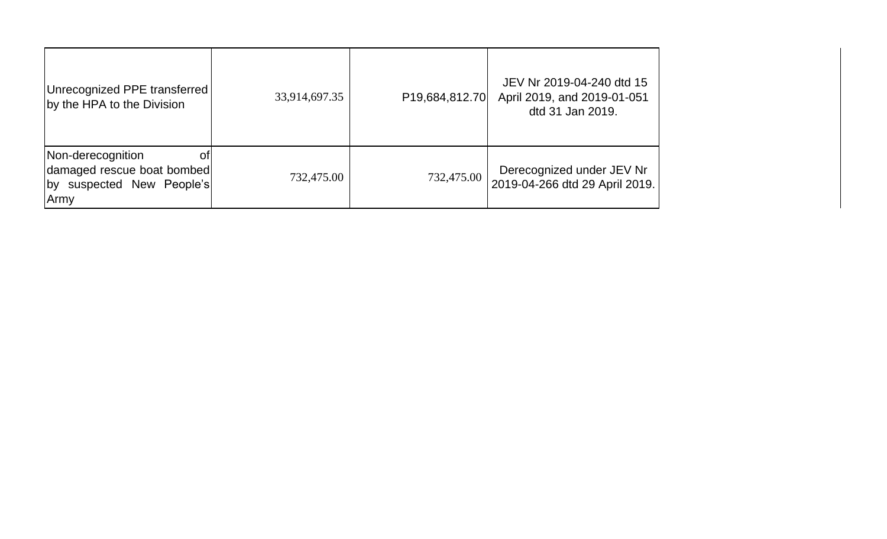| Unrecognized PPE transferred<br>by the HPA to the Division                                             | 33,914,697.35 | P19,684,812.70 | JEV Nr 2019-04-240 dtd 15<br>April 2019, and 2019-01-051<br>dtd 31 Jan 2019. |
|--------------------------------------------------------------------------------------------------------|---------------|----------------|------------------------------------------------------------------------------|
| Non-derecognition<br>Οt<br>damaged rescue boat bombed<br>suspected New People's<br><u>l</u> by<br>Army | 732,475.00    | 732,475.00     | Derecognized under JEV Nr<br>2019-04-266 dtd 29 April 2019.                  |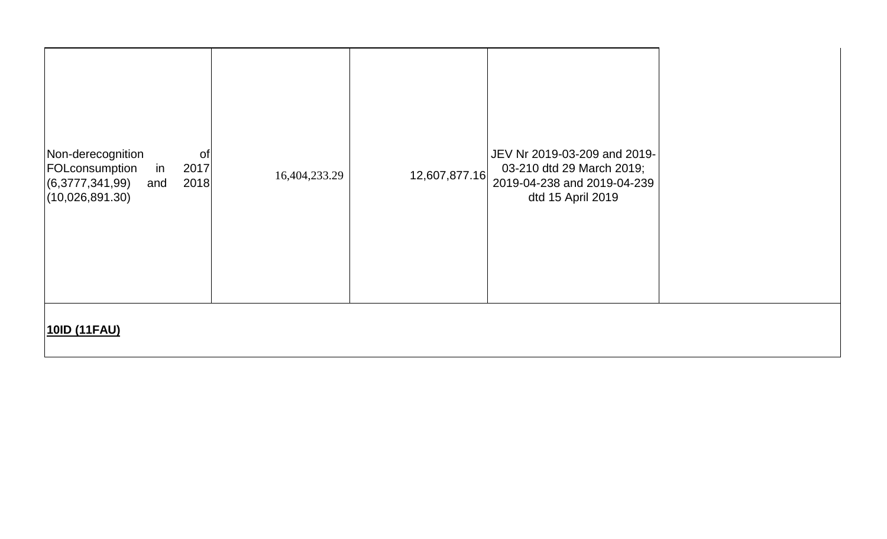| Non-derecognition<br>0f<br>FOLconsumption<br>2017<br>in<br>(6,3777,341,99)<br>2018<br>and<br>(10,026,891.30) | 16,404,233.29 | 12,607,877.16 | JEV Nr 2019-03-209 and 2019-<br>03-210 dtd 29 March 2019;<br>2019-04-238 and 2019-04-239<br>dtd 15 April 2019 |  |
|--------------------------------------------------------------------------------------------------------------|---------------|---------------|---------------------------------------------------------------------------------------------------------------|--|
| 10ID (11FAU)                                                                                                 |               |               |                                                                                                               |  |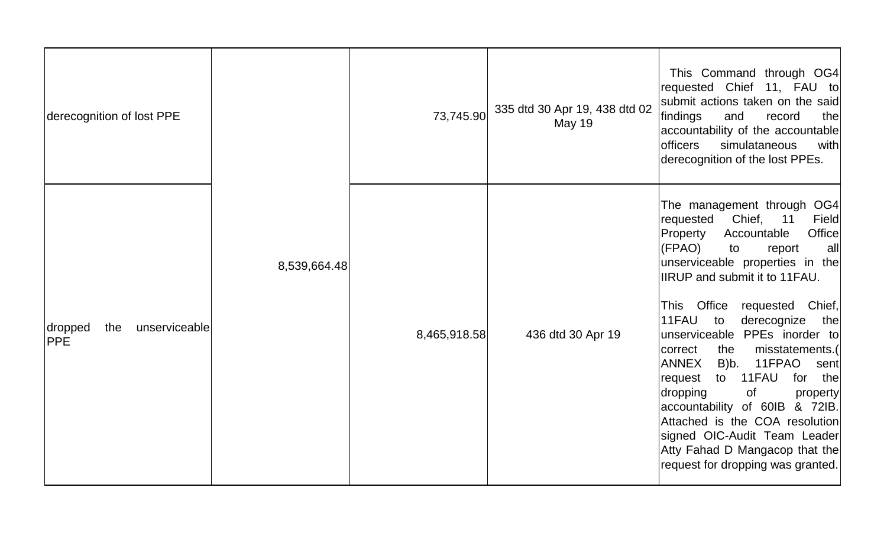| derecognition of lost PPE                     | 8,539,664.48 | 73,745.90    | 335 dtd 30 Apr 19, 438 dtd 02<br><b>May 19</b> | This Command through OG4<br>requested Chief 11, FAU to<br>submit actions taken on the said<br>findings<br>and<br>thel<br>record<br>accountability of the accountable<br><b>officers</b><br>simulataneous<br>with<br>derecognition of the lost PPEs.                                                                                                                                                                                                                                                                                                                                                                                                               |
|-----------------------------------------------|--------------|--------------|------------------------------------------------|-------------------------------------------------------------------------------------------------------------------------------------------------------------------------------------------------------------------------------------------------------------------------------------------------------------------------------------------------------------------------------------------------------------------------------------------------------------------------------------------------------------------------------------------------------------------------------------------------------------------------------------------------------------------|
| unserviceable<br>dropped<br>the<br><b>PPE</b> |              | 8,465,918.58 | 436 dtd 30 Apr 19                              | The management through OG4<br>Chief,<br>11<br>requested<br>Field<br>Office<br>Property<br>Accountable<br>(FPAO)<br>all<br>to<br>report<br>unserviceable properties in the<br><b>IIRUP</b> and submit it to 11FAU.<br>This Office requested<br>Chief,<br>11FAU<br>derecognize<br>to<br>the<br>unserviceable PPEs inorder to<br>correct<br>the<br>misstatements.(<br><b>ANNEX</b><br>B)b.<br>11FPAO<br>sent<br>11FAU<br>for<br>the<br>request<br>to<br>dropping<br><b>of</b><br>property<br>accountability of 60IB & 72IB.<br>Attached is the COA resolution<br>signed OIC-Audit Team Leader<br>Atty Fahad D Mangacop that the<br>request for dropping was granted. |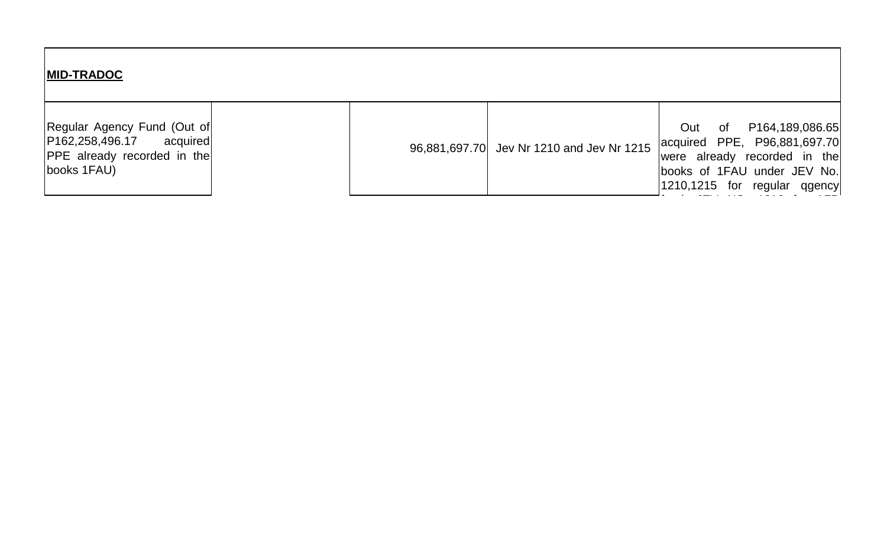| <b>MID-TRADOC</b>                                                                                             |  |                                           |                                                                                                                                                          |
|---------------------------------------------------------------------------------------------------------------|--|-------------------------------------------|----------------------------------------------------------------------------------------------------------------------------------------------------------|
| Regular Agency Fund (Out of<br> P162,258,496.17 acquired<br><b>PPE</b> already recorded in the<br>books 1FAU) |  | 96,881,697.70 Jev Nr 1210 and Jev Nr 1215 | of P164,189,086.65<br>Out<br>acquired PPE, P96,881,697.70<br>were already recorded in the<br>books of 1FAU under JEV No.<br>1210,1215 for regular qgency |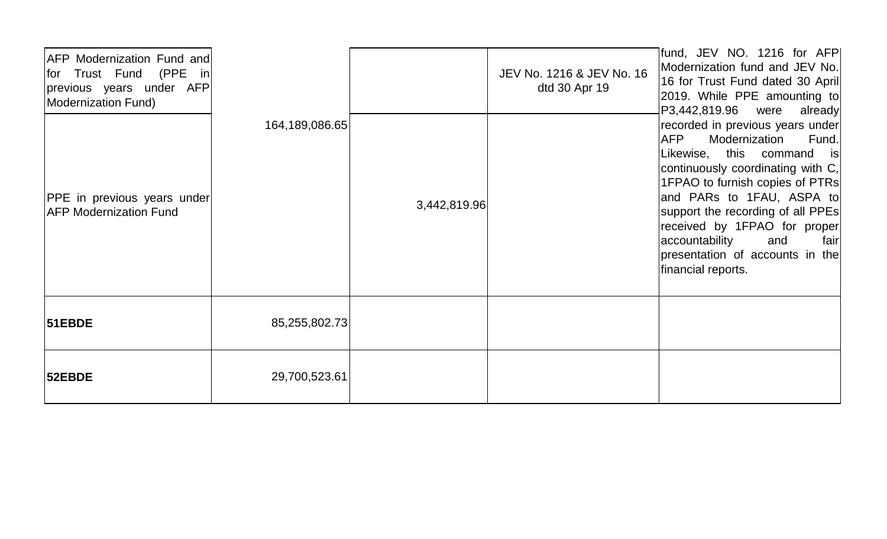| <b>AFP Modernization Fund and</b><br>for Trust Fund (PPE in<br>previous years under AFP<br>Modernization Fund) |                |              | JEV No. 1216 & JEV No. 16<br>dtd 30 Apr 19 | fund, JEV NO. 1216 for AFP<br>Modernization fund and JEV No.<br>16 for Trust Fund dated 30 April<br>2019. While PPE amounting to<br>P3,442,819.96 were<br>already                                                                                                                                                                                                  |
|----------------------------------------------------------------------------------------------------------------|----------------|--------------|--------------------------------------------|--------------------------------------------------------------------------------------------------------------------------------------------------------------------------------------------------------------------------------------------------------------------------------------------------------------------------------------------------------------------|
| PPE in previous years under<br><b>AFP Modernization Fund</b>                                                   | 164,189,086.65 | 3,442,819.96 |                                            | recorded in previous years under<br>AFP<br>Modernization<br>Fund.<br>Likewise, this command is<br>continuously coordinating with C,<br>1FPAO to furnish copies of PTRs<br>and PARs to 1FAU, ASPA to<br>support the recording of all PPEs<br>received by 1FPAO for proper<br>accountability<br>fair<br>and<br>presentation of accounts in the<br>financial reports. |
| <b>51EBDE</b>                                                                                                  | 85,255,802.73  |              |                                            |                                                                                                                                                                                                                                                                                                                                                                    |
| <b>52EBDE</b>                                                                                                  | 29,700,523.61  |              |                                            |                                                                                                                                                                                                                                                                                                                                                                    |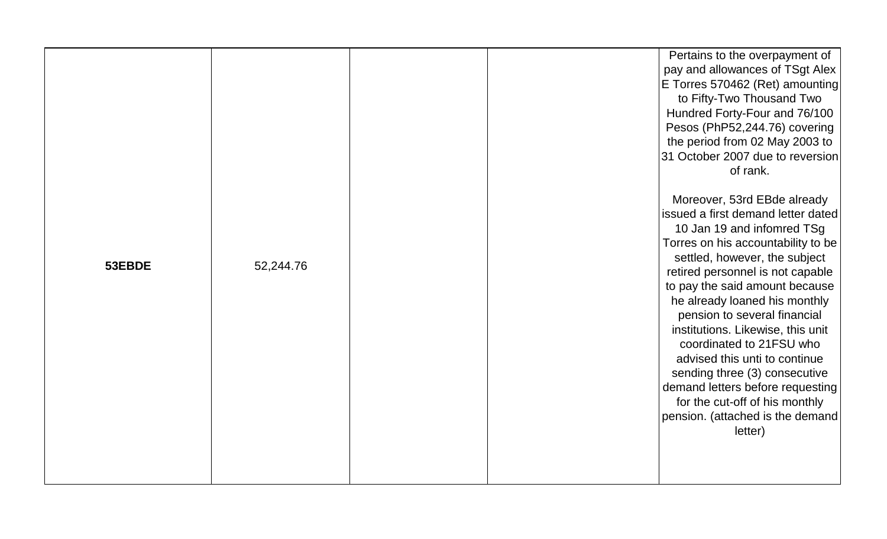| 53EBDE | 52,244.76 |  | Pertains to the overpayment of<br>pay and allowances of TSgt Alex<br>E Torres 570462 (Ret) amounting<br>to Fifty-Two Thousand Two<br>Hundred Forty-Four and 76/100<br>Pesos (PhP52,244.76) covering<br>the period from 02 May 2003 to<br>31 October 2007 due to reversion<br>of rank.<br>Moreover, 53rd EBde already<br>issued a first demand letter dated<br>10 Jan 19 and infomred TSg<br>Torres on his accountability to be<br>settled, however, the subject<br>retired personnel is not capable<br>to pay the said amount because<br>he already loaned his monthly<br>pension to several financial<br>institutions. Likewise, this unit<br>coordinated to 21FSU who<br>advised this unti to continue<br>sending three (3) consecutive<br>demand letters before requesting<br>for the cut-off of his monthly<br>pension. (attached is the demand<br>letter) |
|--------|-----------|--|----------------------------------------------------------------------------------------------------------------------------------------------------------------------------------------------------------------------------------------------------------------------------------------------------------------------------------------------------------------------------------------------------------------------------------------------------------------------------------------------------------------------------------------------------------------------------------------------------------------------------------------------------------------------------------------------------------------------------------------------------------------------------------------------------------------------------------------------------------------|
|        |           |  |                                                                                                                                                                                                                                                                                                                                                                                                                                                                                                                                                                                                                                                                                                                                                                                                                                                                |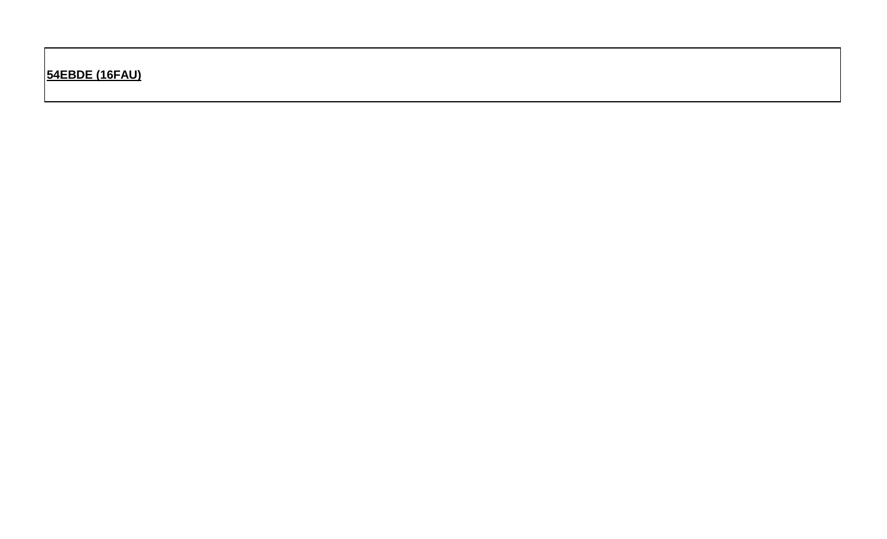**54EBDE (16FAU)**